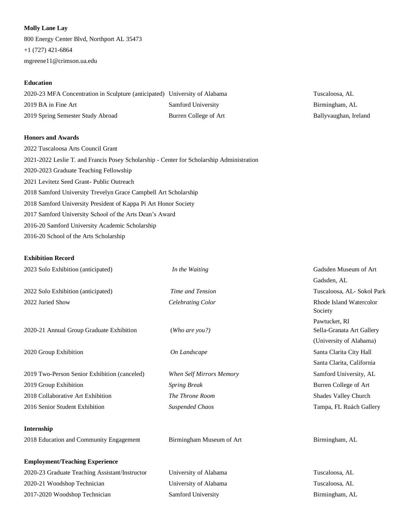### **Molly Lane Lay**

800 Energy Center Blvd, Northport AL 35473 +1 (727) 421-6864 mgreene11@crimson.ua.edu

# **Education**

| 2020-23 MFA Concentration in Sculpture (anticipated) University of Alabama |                       |
|----------------------------------------------------------------------------|-----------------------|
| 2019 BA in Fine Art                                                        | Samford University    |
| 2019 Spring Semester Study Abroad                                          | Burren College of Art |

### **Honors and Awards**

| 2022 Tuscaloosa Arts Council Grant                                                        |
|-------------------------------------------------------------------------------------------|
| 2021-2022 Leslie T. and Francis Posey Scholarship - Center for Scholarship Administration |
| 2020-2023 Graduate Teaching Fellowship                                                    |
| 2021 Levitetz Seed Grant-Public Outreach                                                  |
| 2018 Samford University Trevelyn Grace Campbell Art Scholarship                           |
| 2018 Samford University President of Kappa Pi Art Honor Society                           |
| 2017 Samford University School of the Arts Dean's Award                                   |
| 2016-20 Samford University Academic Scholarship                                           |
| 2016-20 School of the Arts Scholarship                                                    |

## **Exhibition Record**

| 2023 Solo Exhibition (anticipated)             | In the Waiting           | Gadsden Museum of Art                              |
|------------------------------------------------|--------------------------|----------------------------------------------------|
|                                                |                          | Gadsden, AL                                        |
| 2022 Solo Exhibition (anticipated)             | Time and Tension         | Tuscaloosa, AL- Sokol Park                         |
| 2022 Juried Show                               | Celebrating Color        | Rhode Island Watercolor<br>Society                 |
| 2020-21 Annual Group Graduate Exhibition       | (Who are you?)           | Pawtucket, RI<br>Sella-Granata Art Gallery         |
| 2020 Group Exhibition                          | On Landscape             | (University of Alabama)<br>Santa Clarita City Hall |
|                                                |                          | Santa Clarita, California                          |
| 2019 Two-Person Senior Exhibition (canceled)   | When Self Mirrors Memory | Samford University, AL                             |
| 2019 Group Exhibition                          | <b>Spring Break</b>      | Burren College of Art                              |
| 2018 Collaborative Art Exhibition              | The Throne Room          | Shades Valley Church                               |
| 2016 Senior Student Exhibition                 | <b>Suspended Chaos</b>   | Tampa, FL Ruách Gallery                            |
| Internship                                     |                          |                                                    |
| 2018 Education and Community Engagement        | Birmingham Museum of Art | Birmingham, AL                                     |
| <b>Employment/Teaching Experience</b>          |                          |                                                    |
| 2020-23 Graduate Teaching Assistant/Instructor | University of Alabama    | Tuscaloosa, AL                                     |

2020-21 Woodshop Technician University of Alabama Tuscaloosa, AL 2017-2020 Woodshop Technician Samford University Birmingham, AL

Tuscaloosa, AL Birmingham, AL Ballyvaughan, Ireland